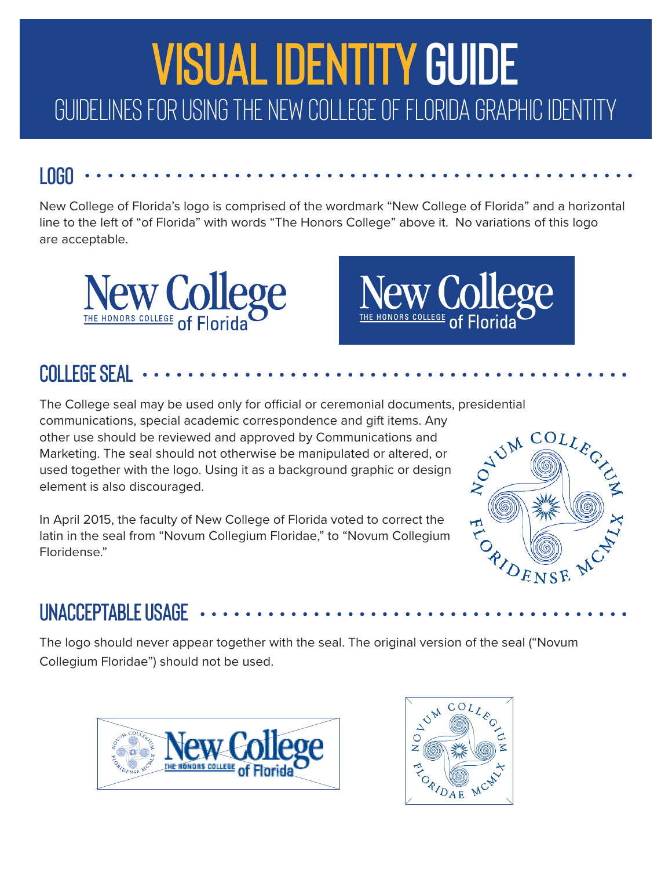

#### **LOGO**

New College of Florida's logo is comprised of the wordmark "New College of Florida" and a horizontal line to the left of "of Florida" with words "The Honors College" above it. No variations of this logo are acceptable.



# **New College**

## **COLLEGE SEAL**

The College seal may be used only for official or ceremonial documents, presidential communications, special academic correspondence and gift items. Any other use should be reviewed and approved by Communications and Marketing. The seal should not otherwise be manipulated or altered, or used together with the logo. Using it as a background graphic or design element is also discouraged.

In April 2015, the faculty of New College of Florida voted to correct the latin in the seal from "Novum Collegium Floridae," to "Novum Collegium Floridense."



### **UNACCEPTABLE USAGE**

The logo should never appear together with the seal. The original version of the seal ("Novum Collegium Floridae") should not be used.



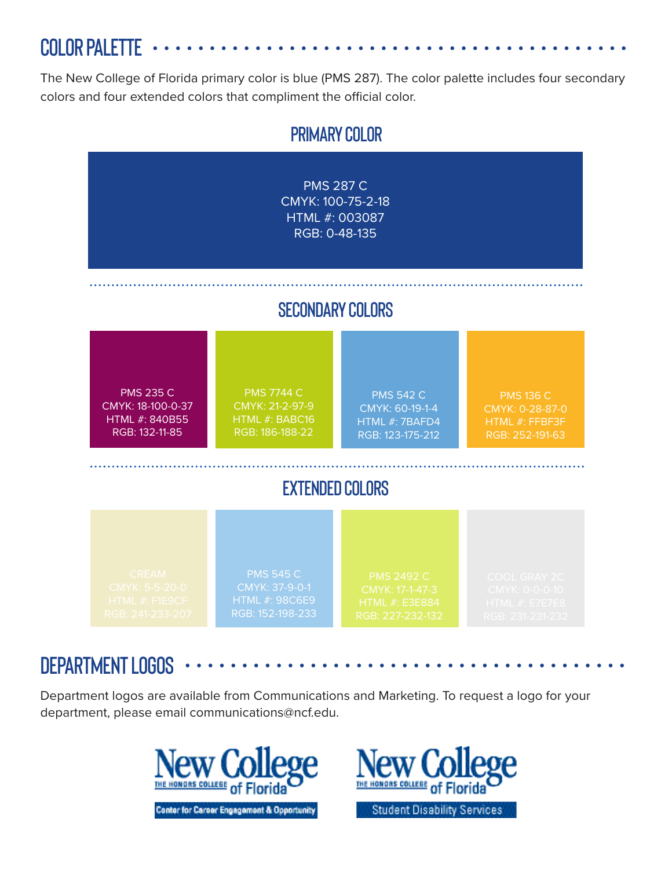**COLOR PALETTE** 

The New College of Florida primary color is blue (PMS 287). The color palette includes four secondary colors and four extended colors that compliment the official color.



#### **DEPARTMENT LOGOS**

Department logos are available from Communications and Marketing. To request a logo for your department, please email communications@ncf.edu.